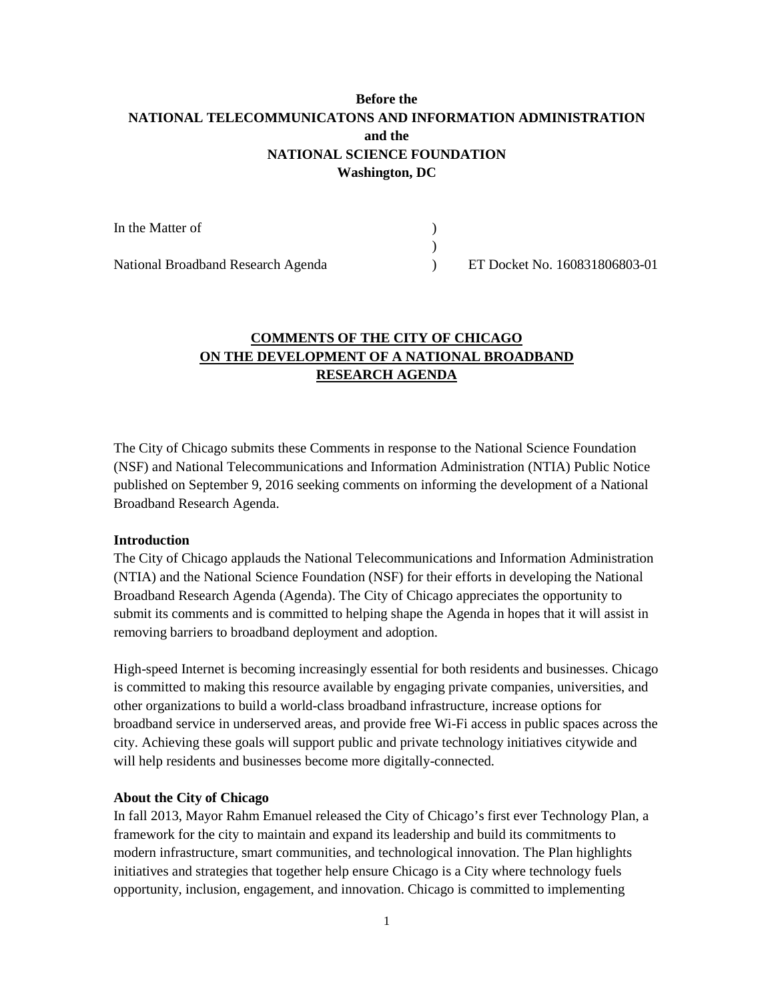# **Before the NATIONAL TELECOMMUNICATONS AND INFORMATION ADMINISTRATION and the NATIONAL SCIENCE FOUNDATION Washington, DC**

| In the Matter of                   |                               |
|------------------------------------|-------------------------------|
|                                    |                               |
| National Broadband Research Agenda | ET Docket No. 160831806803-01 |

# **COMMENTS OF THE CITY OF CHICAGO ON THE DEVELOPMENT OF A NATIONAL BROADBAND RESEARCH AGENDA**

The City of Chicago submits these Comments in response to the National Science Foundation (NSF) and National Telecommunications and Information Administration (NTIA) Public Notice published on September 9, 2016 seeking comments on informing the development of a National Broadband Research Agenda.

### **Introduction**

The City of Chicago applauds the National Telecommunications and Information Administration (NTIA) and the National Science Foundation (NSF) for their efforts in developing the National Broadband Research Agenda (Agenda). The City of Chicago appreciates the opportunity to submit its comments and is committed to helping shape the Agenda in hopes that it will assist in removing barriers to broadband deployment and adoption.

High-speed Internet is becoming increasingly essential for both residents and businesses. Chicago is committed to making this resource available by engaging private companies, universities, and other organizations to build a world-class broadband infrastructure, increase options for broadband service in underserved areas, and provide free Wi-Fi access in public spaces across the city. Achieving these goals will support public and private technology initiatives citywide and will help residents and businesses become more digitally-connected.

### **About the City of Chicago**

In fall 2013, Mayor Rahm Emanuel released the City of Chicago's first ever Technology Plan, a framework for the city to maintain and expand its leadership and build its commitments to modern infrastructure, smart communities, and technological innovation. The Plan highlights initiatives and strategies that together help ensure Chicago is a City where technology fuels opportunity, inclusion, engagement, and innovation. Chicago is committed to implementing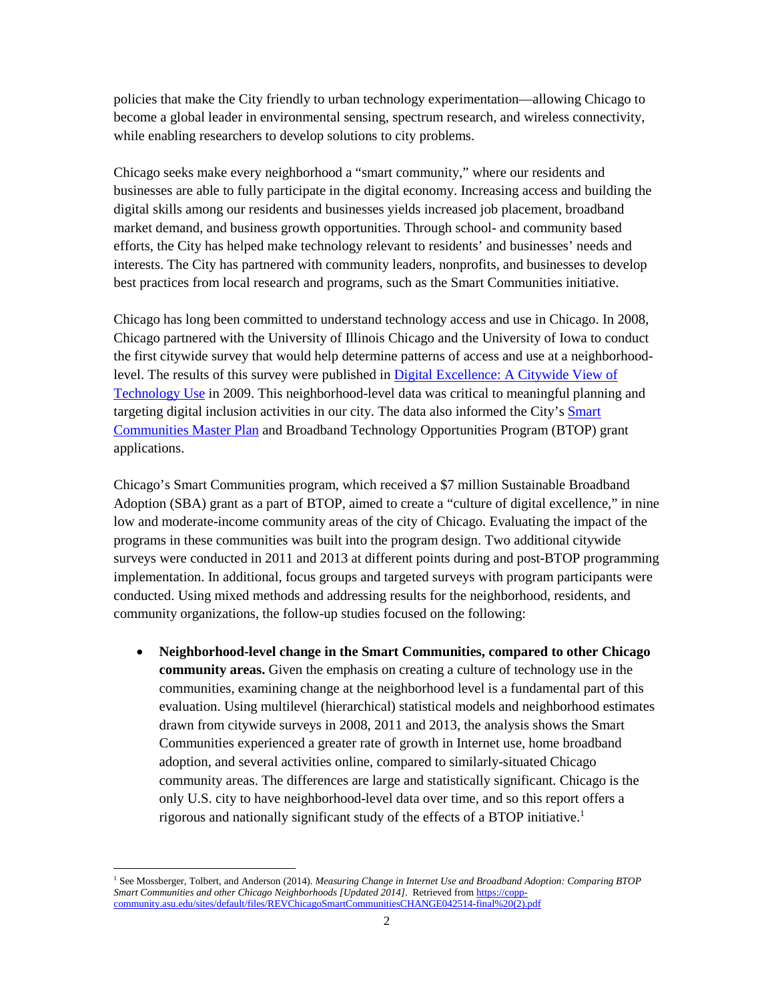policies that make the City friendly to urban technology experimentation—allowing Chicago to become a global leader in environmental sensing, spectrum research, and wireless connectivity, while enabling researchers to develop solutions to city problems.

Chicago seeks make every neighborhood a "smart community," where our residents and businesses are able to fully participate in the digital economy. Increasing access and building the digital skills among our residents and businesses yields increased job placement, broadband market demand, and business growth opportunities. Through school- and community based efforts, the City has helped make technology relevant to residents' and businesses' needs and interests. The City has partnered with community leaders, nonprofits, and businesses to develop best practices from local research and programs, such as the Smart Communities initiative.

Chicago has long been committed to understand technology access and use in Chicago. In 2008, Chicago partnered with the University of Illinois Chicago and the University of Iowa to conduct the first citywide survey that would help determine patterns of access and use at a neighborhoodlevel. The results of this survey were published in **Digital Excellence:** A Citywide View of Technology Use in 2009. This neighborhood-level data was critical to meaningful planning and targeting digital inclusion activities in our city. The data also informed the City's Smart Communities Master Plan and Broadband Technology Opportunities Program (BTOP) grant applications.

Chicago's Smart Communities program, which received a \$7 million Sustainable Broadband Adoption (SBA) grant as a part of BTOP, aimed to create a "culture of digital excellence," in nine low and moderate-income community areas of the city of Chicago. Evaluating the impact of the programs in these communities was built into the program design. Two additional citywide surveys were conducted in 2011 and 2013 at different points during and post-BTOP programming implementation. In additional, focus groups and targeted surveys with program participants were conducted. Using mixed methods and addressing results for the neighborhood, residents, and community organizations, the follow-up studies focused on the following:

• **Neighborhood-level change in the Smart Communities, compared to other Chicago community areas.** Given the emphasis on creating a culture of technology use in the communities, examining change at the neighborhood level is a fundamental part of this evaluation. Using multilevel (hierarchical) statistical models and neighborhood estimates drawn from citywide surveys in 2008, 2011 and 2013, the analysis shows the Smart Communities experienced a greater rate of growth in Internet use, home broadband adoption, and several activities online, compared to similarly-situated Chicago community areas. The differences are large and statistically significant. Chicago is the only U.S. city to have neighborhood-level data over time, and so this report offers a rigorous and nationally significant study of the effects of a BTOP initiative.<sup>1</sup>

<sup>1</sup> See Mossberger, Tolbert, and Anderson (2014). *Measuring Change in Internet Use and Broadband Adoption: Comparing BTOP Smart Communities and other Chicago Neighborhoods [Updated 2014]*. Retrieved from https://coppcommunity.asu.edu/sites/default/files/REVChicagoSmartCommunitiesCHANGE042514-final%20(2).pdf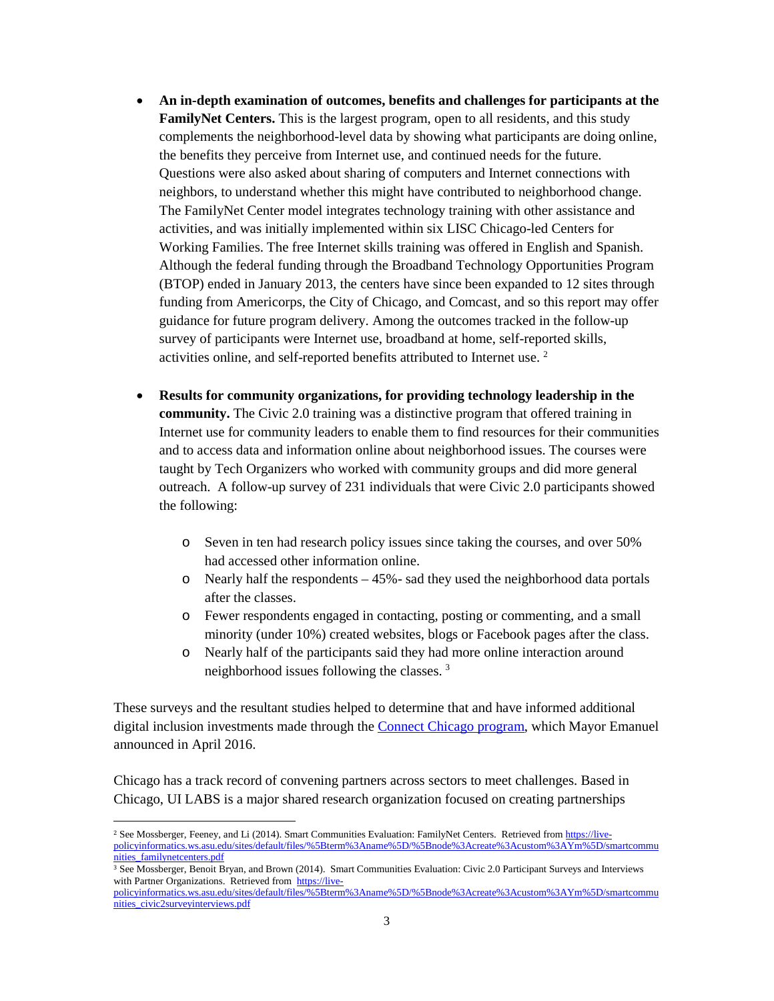- **An in-depth examination of outcomes, benefits and challenges for participants at the FamilyNet Centers.** This is the largest program, open to all residents, and this study complements the neighborhood-level data by showing what participants are doing online, the benefits they perceive from Internet use, and continued needs for the future. Questions were also asked about sharing of computers and Internet connections with neighbors, to understand whether this might have contributed to neighborhood change. The FamilyNet Center model integrates technology training with other assistance and activities, and was initially implemented within six LISC Chicago-led Centers for Working Families. The free Internet skills training was offered in English and Spanish. Although the federal funding through the Broadband Technology Opportunities Program (BTOP) ended in January 2013, the centers have since been expanded to 12 sites through funding from Americorps, the City of Chicago, and Comcast, and so this report may offer guidance for future program delivery. Among the outcomes tracked in the follow-up survey of participants were Internet use, broadband at home, self-reported skills, activities online, and self-reported benefits attributed to Internet use. <sup>2</sup>
- **Results for community organizations, for providing technology leadership in the community.** The Civic 2.0 training was a distinctive program that offered training in Internet use for community leaders to enable them to find resources for their communities and to access data and information online about neighborhood issues. The courses were taught by Tech Organizers who worked with community groups and did more general outreach. A follow-up survey of 231 individuals that were Civic 2.0 participants showed the following:
	- o Seven in ten had research policy issues since taking the courses, and over 50% had accessed other information online.
	- o Nearly half the respondents 45%- sad they used the neighborhood data portals after the classes.
	- o Fewer respondents engaged in contacting, posting or commenting, and a small minority (under 10%) created websites, blogs or Facebook pages after the class.
	- o Nearly half of the participants said they had more online interaction around neighborhood issues following the classes. <sup>3</sup>

These surveys and the resultant studies helped to determine that and have informed additional digital inclusion investments made through the Connect Chicago program, which Mayor Emanuel announced in April 2016.

Chicago has a track record of convening partners across sectors to meet challenges. Based in Chicago, UI LABS is a major shared research organization focused on creating partnerships

<sup>&</sup>lt;sup>2</sup> See Mossberger, Feeney, and Li (2014). Smart Communities Evaluation: FamilyNet Centers. Retrieved from https://livepolicyinformatics.ws.asu.edu/sites/default/files/%5Bterm%3Aname%5D/%5Bnode%3Acreate%3Acustom%3AYm%5D/smartcommu nities\_familynetcenters.pdf

<sup>3</sup> See Mossberger, Benoit Bryan, and Brown (2014). Smart Communities Evaluation: Civic 2.0 Participant Surveys and Interviews with Partner Organizations. Retrieved from https://live-

policyinformatics.ws.asu.edu/sites/default/files/%5Bterm%3Aname%5D/%5Bnode%3Acreate%3Acustom%3AYm%5D/smartcommu nities\_civic2surveyinterviews.pdf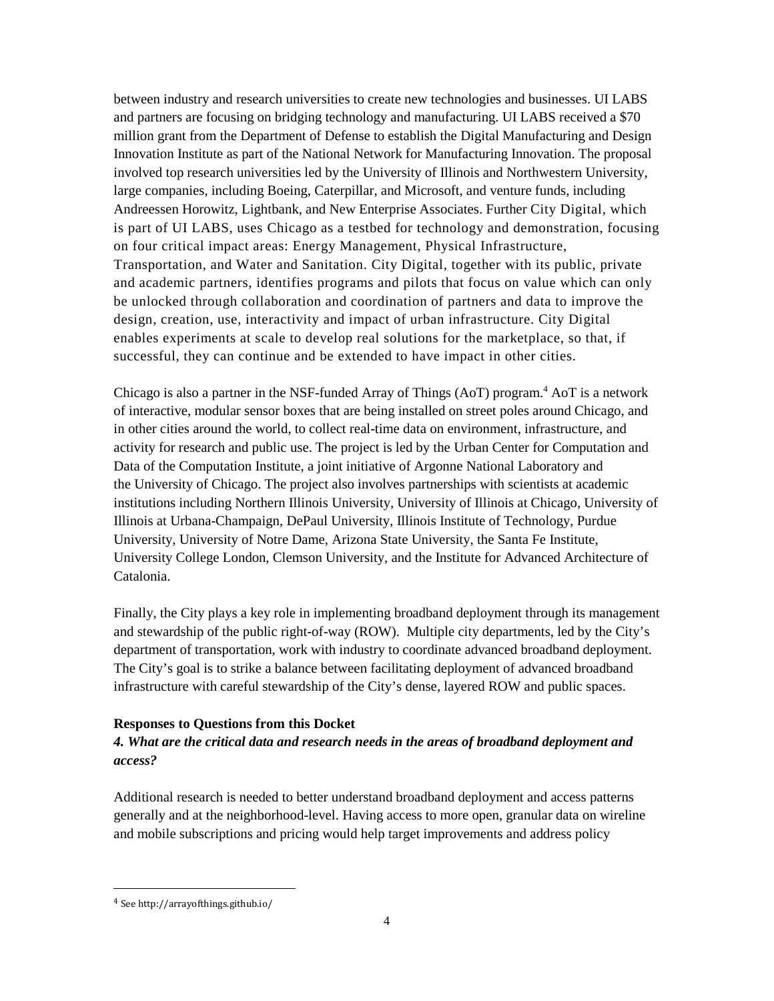between industry and research universities to create new technologies and businesses. UI LABS and partners are focusing on bridging technology and manufacturing. UI LABS received a \$70 million grant from the Department of Defense to establish the Digital Manufacturing and Design Innovation Institute as part of the National Network for Manufacturing Innovation. The proposal involved top research universities led by the University of Illinois and Northwestern University, large companies, including Boeing, Caterpillar, and Microsoft, and venture funds, including Andreessen Horowitz, Lightbank, and New Enterprise Associates. Further City Digital, which is part of UI LABS, uses Chicago as a testbed for technology and demonstration, focusing on four critical impact areas: Energy Management, Physical Infrastructure, Transportation, and Water and Sanitation. City Digital, together with its public, private and academic partners, identifies programs and pilots that focus on value which can only be unlocked through collaboration and coordination of partners and data to improve the design, creation, use, interactivity and impact of urban infrastructure. City Digital enables experiments at scale to develop real solutions for the marketplace, so that, if successful, they can continue and be extended to have impact in other cities.

Chicago is also a partner in the NSF-funded Array of Things (AoT) program.<sup>4</sup> AoT is a network of interactive, modular sensor boxes that are being installed on street poles around Chicago, and in other cities around the world, to collect real-time data on environment, infrastructure, and activity for research and public use. The project is led by the Urban Center for Computation and Data of the Computation Institute, a joint initiative of Argonne National Laboratory and the University of Chicago. The project also involves partnerships with scientists at academic institutions including Northern Illinois University, University of Illinois at Chicago, University of Illinois at Urbana-Champaign, DePaul University, Illinois Institute of Technology, Purdue University, University of Notre Dame, Arizona State University, the Santa Fe Institute, University College London, Clemson University, and the Institute for Advanced Architecture of Catalonia.

Finally, the City plays a key role in implementing broadband deployment through its management and stewardship of the public right-of-way (ROW). Multiple city departments, led by the City's department of transportation, work with industry to coordinate advanced broadband deployment. The City's goal is to strike a balance between facilitating deployment of advanced broadband infrastructure with careful stewardship of the City's dense, layered ROW and public spaces.

### **Responses to Questions from this Docket**

## *4. What are the critical data and research needs in the areas of broadband deployment and access?*

Additional research is needed to better understand broadband deployment and access patterns generally and at the neighborhood-level. Having access to more open, granular data on wireline and mobile subscriptions and pricing would help target improvements and address policy

<sup>4</sup> See http://arrayofthings.github.io/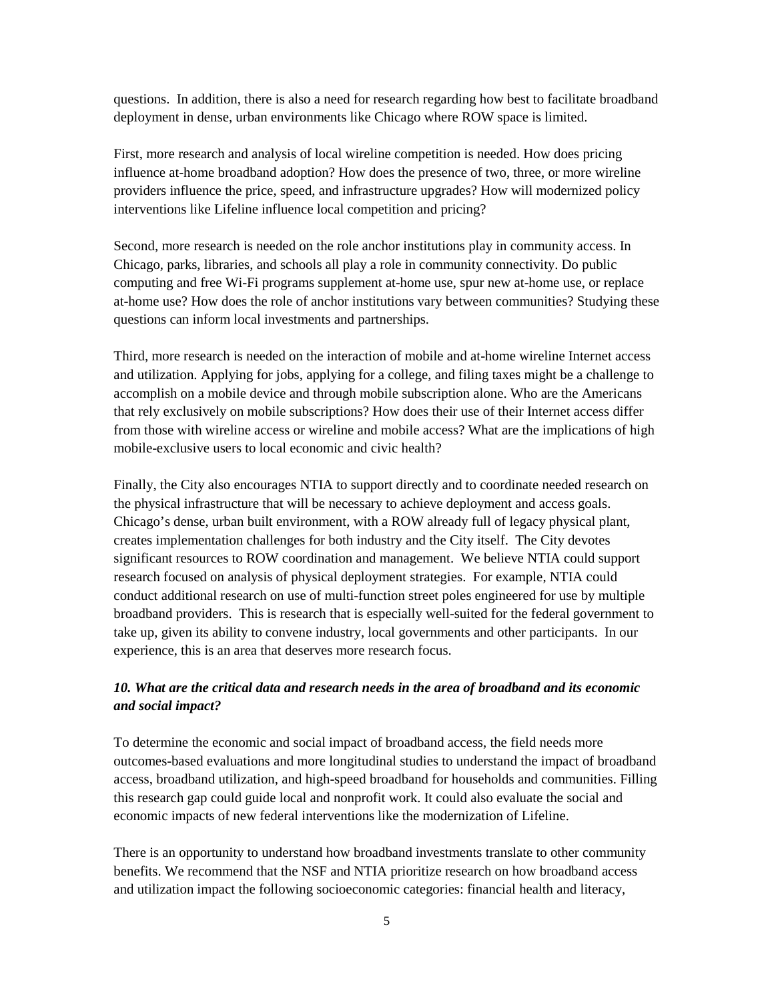questions. In addition, there is also a need for research regarding how best to facilitate broadband deployment in dense, urban environments like Chicago where ROW space is limited.

First, more research and analysis of local wireline competition is needed. How does pricing influence at-home broadband adoption? How does the presence of two, three, or more wireline providers influence the price, speed, and infrastructure upgrades? How will modernized policy interventions like Lifeline influence local competition and pricing?

Second, more research is needed on the role anchor institutions play in community access. In Chicago, parks, libraries, and schools all play a role in community connectivity. Do public computing and free Wi-Fi programs supplement at-home use, spur new at-home use, or replace at-home use? How does the role of anchor institutions vary between communities? Studying these questions can inform local investments and partnerships.

Third, more research is needed on the interaction of mobile and at-home wireline Internet access and utilization. Applying for jobs, applying for a college, and filing taxes might be a challenge to accomplish on a mobile device and through mobile subscription alone. Who are the Americans that rely exclusively on mobile subscriptions? How does their use of their Internet access differ from those with wireline access or wireline and mobile access? What are the implications of high mobile-exclusive users to local economic and civic health?

Finally, the City also encourages NTIA to support directly and to coordinate needed research on the physical infrastructure that will be necessary to achieve deployment and access goals. Chicago's dense, urban built environment, with a ROW already full of legacy physical plant, creates implementation challenges for both industry and the City itself. The City devotes significant resources to ROW coordination and management. We believe NTIA could support research focused on analysis of physical deployment strategies. For example, NTIA could conduct additional research on use of multi-function street poles engineered for use by multiple broadband providers. This is research that is especially well-suited for the federal government to take up, given its ability to convene industry, local governments and other participants. In our experience, this is an area that deserves more research focus.

## *10. What are the critical data and research needs in the area of broadband and its economic and social impact?*

To determine the economic and social impact of broadband access, the field needs more outcomes-based evaluations and more longitudinal studies to understand the impact of broadband access, broadband utilization, and high-speed broadband for households and communities. Filling this research gap could guide local and nonprofit work. It could also evaluate the social and economic impacts of new federal interventions like the modernization of Lifeline.

There is an opportunity to understand how broadband investments translate to other community benefits. We recommend that the NSF and NTIA prioritize research on how broadband access and utilization impact the following socioeconomic categories: financial health and literacy,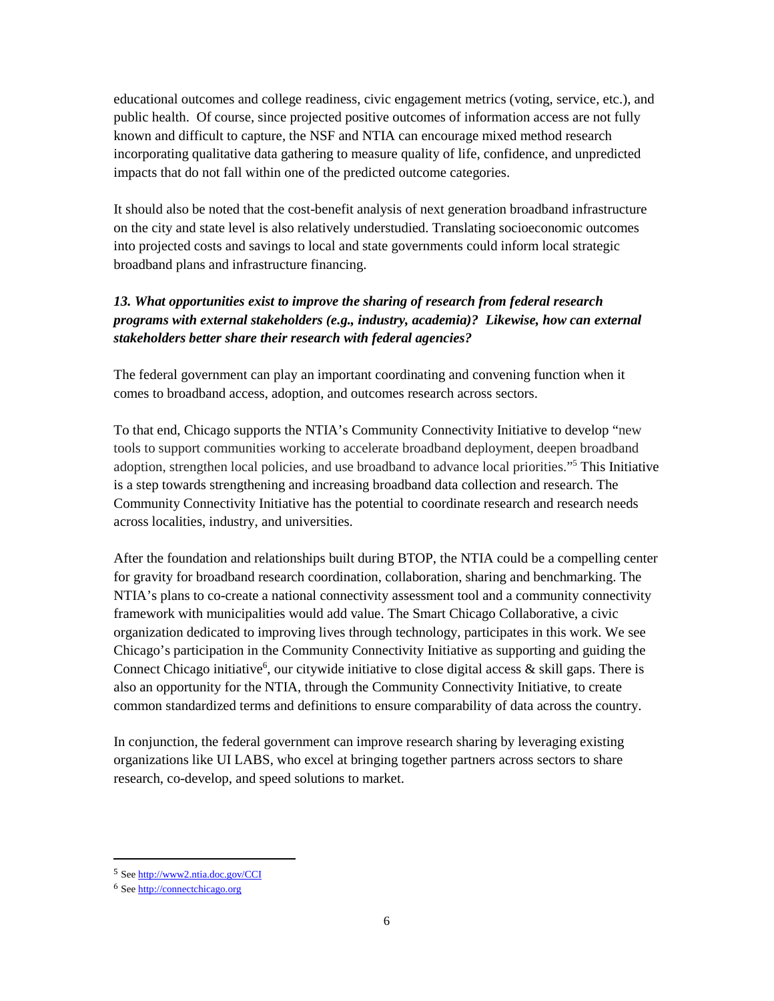educational outcomes and college readiness, civic engagement metrics (voting, service, etc.), and public health. Of course, since projected positive outcomes of information access are not fully known and difficult to capture, the NSF and NTIA can encourage mixed method research incorporating qualitative data gathering to measure quality of life, confidence, and unpredicted impacts that do not fall within one of the predicted outcome categories.

It should also be noted that the cost-benefit analysis of next generation broadband infrastructure on the city and state level is also relatively understudied. Translating socioeconomic outcomes into projected costs and savings to local and state governments could inform local strategic broadband plans and infrastructure financing.

# *13. What opportunities exist to improve the sharing of research from federal research programs with external stakeholders (e.g., industry, academia)? Likewise, how can external stakeholders better share their research with federal agencies?*

The federal government can play an important coordinating and convening function when it comes to broadband access, adoption, and outcomes research across sectors.

To that end, Chicago supports the NTIA's Community Connectivity Initiative to develop "new tools to support communities working to accelerate broadband deployment, deepen broadband adoption, strengthen local policies, and use broadband to advance local priorities."<sup>5</sup> This Initiative is a step towards strengthening and increasing broadband data collection and research. The Community Connectivity Initiative has the potential to coordinate research and research needs across localities, industry, and universities.

After the foundation and relationships built during BTOP, the NTIA could be a compelling center for gravity for broadband research coordination, collaboration, sharing and benchmarking. The NTIA's plans to co-create a national connectivity assessment tool and a community connectivity framework with municipalities would add value. The Smart Chicago Collaborative, a civic organization dedicated to improving lives through technology, participates in this work. We see Chicago's participation in the Community Connectivity Initiative as supporting and guiding the Connect Chicago initiative<sup>6</sup>, our citywide initiative to close digital access & skill gaps. There is also an opportunity for the NTIA, through the Community Connectivity Initiative, to create common standardized terms and definitions to ensure comparability of data across the country.

In conjunction, the federal government can improve research sharing by leveraging existing organizations like UI LABS, who excel at bringing together partners across sectors to share research, co-develop, and speed solutions to market.

<sup>5</sup> See http://www2.ntia.doc.gov/CCI

<sup>6</sup> See http://connectchicago.org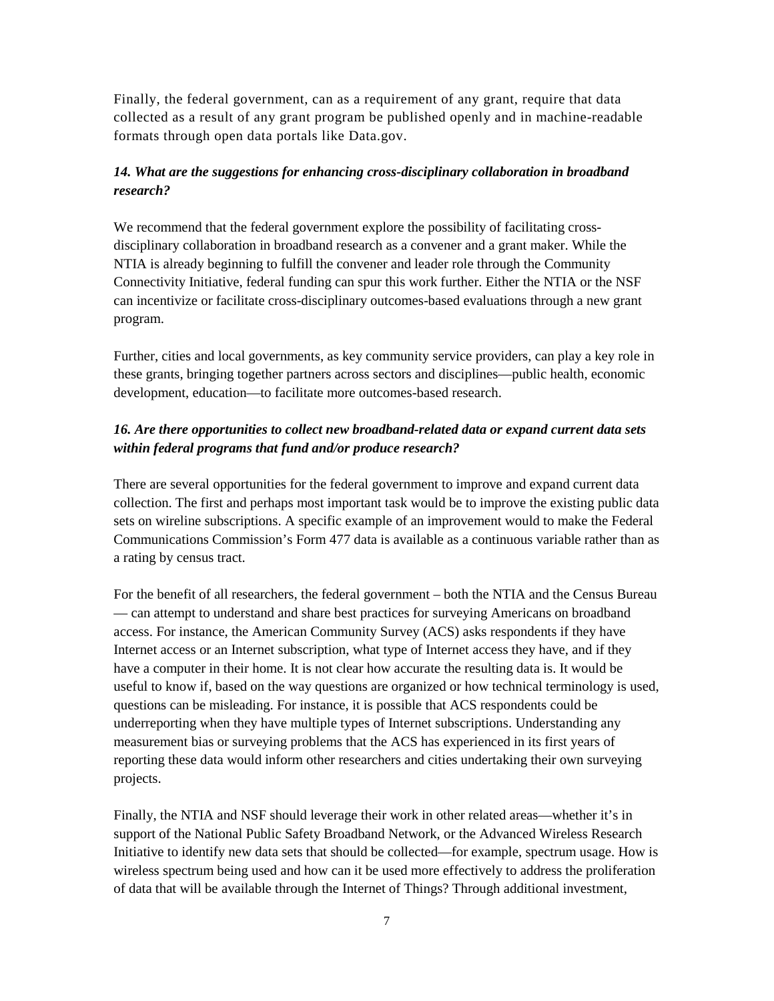Finally, the federal government, can as a requirement of any grant, require that data collected as a result of any grant program be published openly and in machine-readable formats through open data portals like Data.gov.

# *14. What are the suggestions for enhancing cross-disciplinary collaboration in broadband research?*

We recommend that the federal government explore the possibility of facilitating crossdisciplinary collaboration in broadband research as a convener and a grant maker. While the NTIA is already beginning to fulfill the convener and leader role through the Community Connectivity Initiative, federal funding can spur this work further. Either the NTIA or the NSF can incentivize or facilitate cross-disciplinary outcomes-based evaluations through a new grant program.

Further, cities and local governments, as key community service providers, can play a key role in these grants, bringing together partners across sectors and disciplines—public health, economic development, education—to facilitate more outcomes-based research.

# *16. Are there opportunities to collect new broadband-related data or expand current data sets within federal programs that fund and/or produce research?*

There are several opportunities for the federal government to improve and expand current data collection. The first and perhaps most important task would be to improve the existing public data sets on wireline subscriptions. A specific example of an improvement would to make the Federal Communications Commission's Form 477 data is available as a continuous variable rather than as a rating by census tract.

For the benefit of all researchers, the federal government – both the NTIA and the Census Bureau — can attempt to understand and share best practices for surveying Americans on broadband access. For instance, the American Community Survey (ACS) asks respondents if they have Internet access or an Internet subscription, what type of Internet access they have, and if they have a computer in their home. It is not clear how accurate the resulting data is. It would be useful to know if, based on the way questions are organized or how technical terminology is used, questions can be misleading. For instance, it is possible that ACS respondents could be underreporting when they have multiple types of Internet subscriptions. Understanding any measurement bias or surveying problems that the ACS has experienced in its first years of reporting these data would inform other researchers and cities undertaking their own surveying projects.

Finally, the NTIA and NSF should leverage their work in other related areas—whether it's in support of the National Public Safety Broadband Network, or the Advanced Wireless Research Initiative to identify new data sets that should be collected—for example, spectrum usage. How is wireless spectrum being used and how can it be used more effectively to address the proliferation of data that will be available through the Internet of Things? Through additional investment,